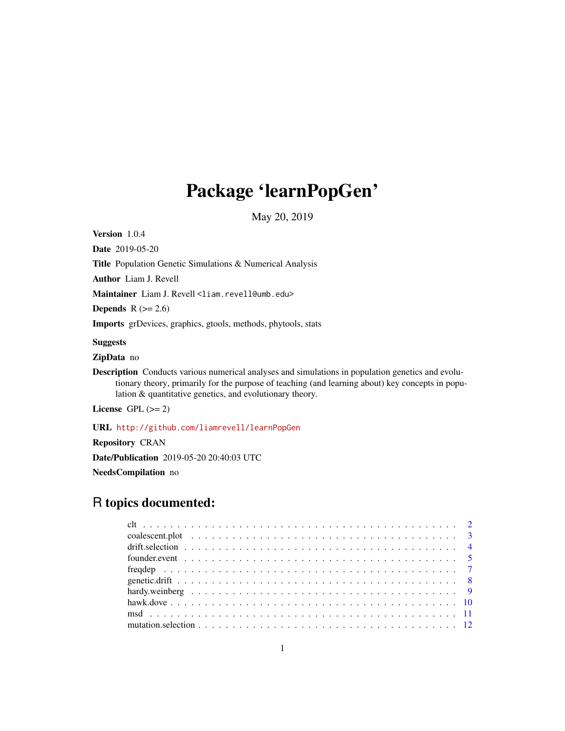# Package 'learnPopGen'

May 20, 2019

<span id="page-0-0"></span>Version 1.0.4

Date 2019-05-20

Title Population Genetic Simulations & Numerical Analysis

Author Liam J. Revell

Maintainer Liam J. Revell <liam.revell@umb.edu>

Depends  $R$  ( $>= 2.6$ )

Imports grDevices, graphics, gtools, methods, phytools, stats

#### Suggests

ZipData no

Description Conducts various numerical analyses and simulations in population genetics and evolutionary theory, primarily for the purpose of teaching (and learning about) key concepts in population & quantitative genetics, and evolutionary theory.

License GPL  $(>= 2)$ 

URL <http://github.com/liamrevell/learnPopGen>

Repository CRAN

Date/Publication 2019-05-20 20:40:03 UTC

NeedsCompilation no

# R topics documented: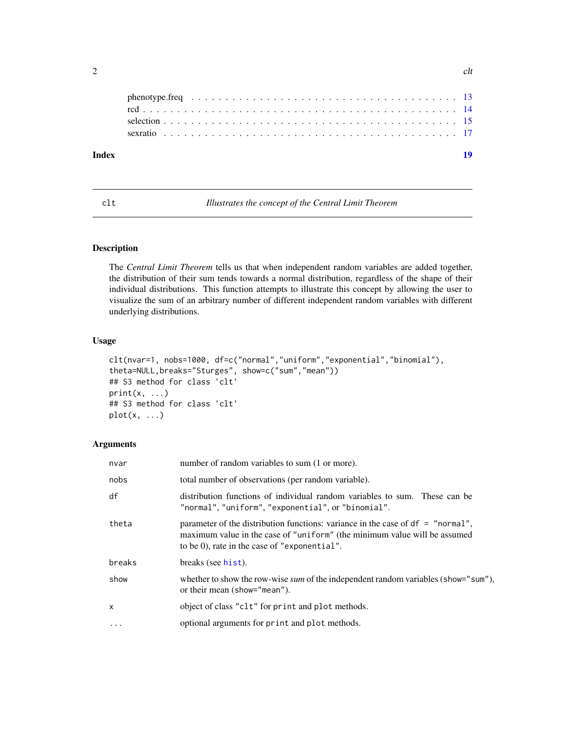<span id="page-1-0"></span>

| Index |  |  |  |  |  |  |  |  |  |  |  |  |  |  |  |
|-------|--|--|--|--|--|--|--|--|--|--|--|--|--|--|--|
|       |  |  |  |  |  |  |  |  |  |  |  |  |  |  |  |
|       |  |  |  |  |  |  |  |  |  |  |  |  |  |  |  |
|       |  |  |  |  |  |  |  |  |  |  |  |  |  |  |  |
|       |  |  |  |  |  |  |  |  |  |  |  |  |  |  |  |
|       |  |  |  |  |  |  |  |  |  |  |  |  |  |  |  |

<span id="page-1-1"></span>clt *Illustrates the concept of the Central Limit Theorem*

# Description

The *Central Limit Theorem* tells us that when independent random variables are added together, the distribution of their sum tends towards a normal distribution, regardless of the shape of their individual distributions. This function attempts to illustrate this concept by allowing the user to visualize the sum of an arbitrary number of different independent random variables with different underlying distributions.

# Usage

```
clt(nvar=1, nobs=1000, df=c("normal","uniform","exponential","binomial"),
theta=NULL,breaks="Sturges", show=c("sum","mean"))
## S3 method for class 'clt'
print(x, \ldots)## S3 method for class 'clt'
plot(x, \ldots)
```

| nvar              | number of random variables to sum (1 or more).                                                                                                                                                                 |
|-------------------|----------------------------------------------------------------------------------------------------------------------------------------------------------------------------------------------------------------|
| nobs              | total number of observations (per random variable).                                                                                                                                                            |
| df                | distribution functions of individual random variables to sum. These can be<br>"normal", "uniform", "exponential", or "binomial".                                                                               |
| theta             | parameter of the distribution functions: variance in the case of $df = "normal",$<br>maximum value in the case of "uniform" (the minimum value will be assumed<br>to be 0), rate in the case of "exponential". |
| breaks            | breaks (see hist).                                                                                                                                                                                             |
| show              | whether to show the row-wise <i>sum</i> of the independent random variables (show="sum"),<br>or their mean (show="mean").                                                                                      |
| x                 | object of class "clt" for print and plot methods.                                                                                                                                                              |
| $\cdot\cdot\cdot$ | optional arguments for print and plot methods.                                                                                                                                                                 |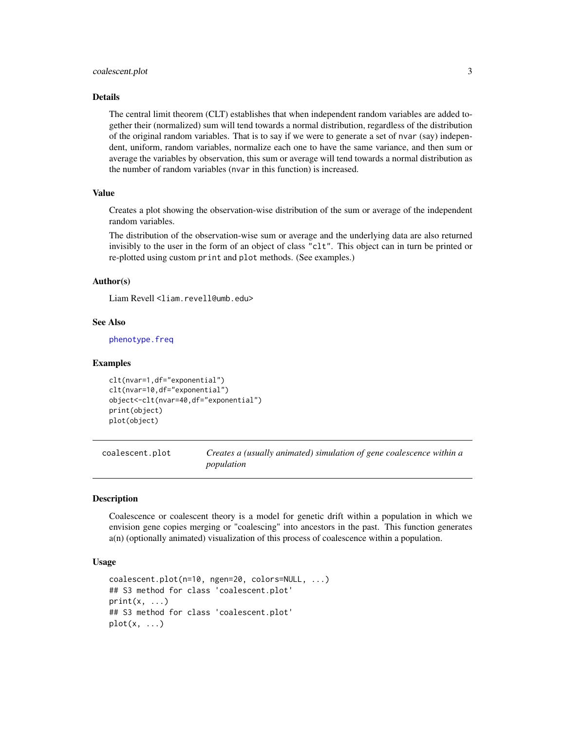# <span id="page-2-0"></span>coalescent.plot 3

#### Details

The central limit theorem (CLT) establishes that when independent random variables are added together their (normalized) sum will tend towards a normal distribution, regardless of the distribution of the original random variables. That is to say if we were to generate a set of nvar (say) independent, uniform, random variables, normalize each one to have the same variance, and then sum or average the variables by observation, this sum or average will tend towards a normal distribution as the number of random variables (nvar in this function) is increased.

# Value

Creates a plot showing the observation-wise distribution of the sum or average of the independent random variables.

The distribution of the observation-wise sum or average and the underlying data are also returned invisibly to the user in the form of an object of class "clt". This object can in turn be printed or re-plotted using custom print and plot methods. (See examples.)

#### Author(s)

Liam Revell <liam.revell@umb.edu>

#### See Also

[phenotype.freq](#page-12-1)

#### Examples

```
clt(nvar=1,df="exponential")
clt(nvar=10,df="exponential")
object<-clt(nvar=40,df="exponential")
print(object)
plot(object)
```
coalescent.plot *Creates a (usually animated) simulation of gene coalescence within a population*

#### **Description**

Coalescence or coalescent theory is a model for genetic drift within a population in which we envision gene copies merging or "coalescing" into ancestors in the past. This function generates a(n) (optionally animated) visualization of this process of coalescence within a population.

# Usage

```
coalescent.plot(n=10, ngen=20, colors=NULL, ...)
## S3 method for class 'coalescent.plot'
print(x, \ldots)## S3 method for class 'coalescent.plot'
plot(x, \ldots)
```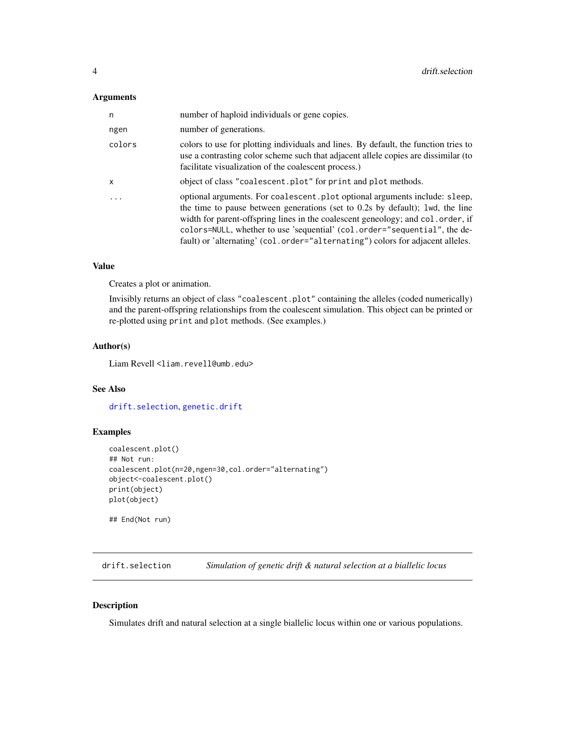#### <span id="page-3-0"></span>Arguments

| n            | number of haploid individuals or gene copies.                                                                                                                                                                                                                                                                                                                                                                   |
|--------------|-----------------------------------------------------------------------------------------------------------------------------------------------------------------------------------------------------------------------------------------------------------------------------------------------------------------------------------------------------------------------------------------------------------------|
| ngen         | number of generations.                                                                                                                                                                                                                                                                                                                                                                                          |
| colors       | colors to use for plotting individuals and lines. By default, the function tries to<br>use a contrasting color scheme such that adjacent allele copies are dissimilar (to<br>facilitate visualization of the coalescent process.)                                                                                                                                                                               |
| $\mathsf{x}$ | object of class "coalescent.plot" for print and plot methods.                                                                                                                                                                                                                                                                                                                                                   |
| $\ddots$     | optional arguments. For coalescent. plot optional arguments include: sleep,<br>the time to pause between generations (set to 0.2s by default); 1wd, the line<br>width for parent-offspring lines in the coalescent geneology; and col. order, if<br>colors=NULL, whether to use 'sequential' (col.order="sequential", the de-<br>fault) or 'alternating' (col.order="alternating") colors for adjacent alleles. |

# Value

Creates a plot or animation.

Invisibly returns an object of class "coalescent.plot" containing the alleles (coded numerically) and the parent-offspring relationships from the coalescent simulation. This object can be printed or re-plotted using print and plot methods. (See examples.)

#### Author(s)

Liam Revell <liam.revell@umb.edu>

# See Also

[drift.selection](#page-3-1), [genetic.drift](#page-7-1)

# Examples

```
coalescent.plot()
## Not run:
coalescent.plot(n=20,ngen=30,col.order="alternating")
object<-coalescent.plot()
print(object)
plot(object)
```
## End(Not run)

<span id="page-3-1"></span>drift.selection *Simulation of genetic drift & natural selection at a biallelic locus*

# Description

Simulates drift and natural selection at a single biallelic locus within one or various populations.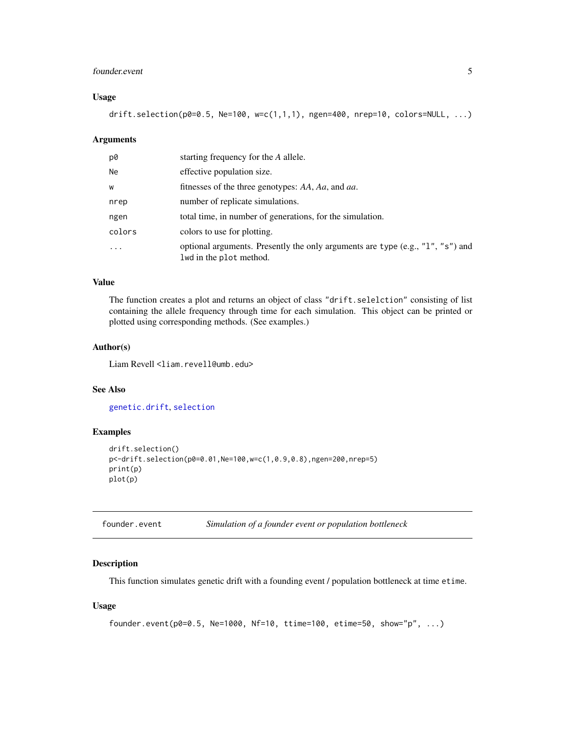### <span id="page-4-0"></span>founder.event 5

# Usage

drift.selection(p0=0.5, Ne=100, w=c(1,1,1), ngen=400, nrep=10, colors=NULL, ...)

#### Arguments

| p0        | starting frequency for the A allele.                                                                        |
|-----------|-------------------------------------------------------------------------------------------------------------|
| <b>Ne</b> | effective population size.                                                                                  |
| W         | fitnesses of the three genotypes: AA, Aa, and aa.                                                           |
| nrep      | number of replicate simulations.                                                                            |
| ngen      | total time, in number of generations, for the simulation.                                                   |
| colors    | colors to use for plotting.                                                                                 |
|           | optional arguments. Presently the only arguments are type $(e.g., "1", "s")$ and<br>lwd in the plot method. |

# Value

The function creates a plot and returns an object of class "drift.selelction" consisting of list containing the allele frequency through time for each simulation. This object can be printed or plotted using corresponding methods. (See examples.)

### Author(s)

Liam Revell <liam.revell@umb.edu>

#### See Also

[genetic.drift](#page-7-1), [selection](#page-14-1)

# Examples

```
drift.selection()
p<-drift.selection(p0=0.01,Ne=100,w=c(1,0.9,0.8),ngen=200,nrep=5)
print(p)
plot(p)
```
<span id="page-4-1"></span>

| founder.event | Simulation of a founder event or population bottleneck |  |
|---------------|--------------------------------------------------------|--|
|---------------|--------------------------------------------------------|--|

# Description

This function simulates genetic drift with a founding event / population bottleneck at time etime.

#### Usage

```
founder.event(p0=0.5, Ne=1000, Nf=10, ttime=100, etime=50, show="p", ...)
```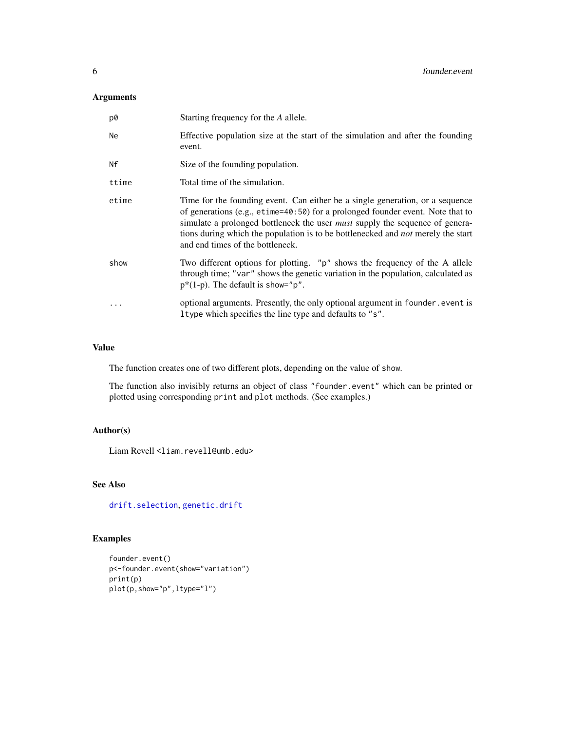# <span id="page-5-0"></span>Arguments

| p0        | Starting frequency for the A allele.                                                                                                                                                                                                                                                                                                                                                  |
|-----------|---------------------------------------------------------------------------------------------------------------------------------------------------------------------------------------------------------------------------------------------------------------------------------------------------------------------------------------------------------------------------------------|
| <b>Ne</b> | Effective population size at the start of the simulation and after the founding<br>event.                                                                                                                                                                                                                                                                                             |
| Νf        | Size of the founding population.                                                                                                                                                                                                                                                                                                                                                      |
| ttime     | Total time of the simulation.                                                                                                                                                                                                                                                                                                                                                         |
| etime     | Time for the founding event. Can either be a single generation, or a sequence<br>of generations (e.g., etime=40:50) for a prolonged founder event. Note that to<br>simulate a prolonged bottleneck the user <i>must</i> supply the sequence of genera-<br>tions during which the population is to be bottlenecked and <i>not</i> merely the start<br>and end times of the bottleneck. |
| show      | Two different options for plotting. "p" shows the frequency of the A allele<br>through time; "var" shows the genetic variation in the population, calculated as<br>$p*(1-p)$ . The default is show="p".                                                                                                                                                                               |
| $\cdots$  | optional arguments. Presently, the only optional argument in founder . event is<br>Itype which specifies the line type and defaults to "s".                                                                                                                                                                                                                                           |

# Value

The function creates one of two different plots, depending on the value of show.

The function also invisibly returns an object of class "founder.event" which can be printed or plotted using corresponding print and plot methods. (See examples.)

# Author(s)

Liam Revell <liam.revell@umb.edu>

# See Also

[drift.selection](#page-3-1), [genetic.drift](#page-7-1)

# Examples

founder.event() p<-founder.event(show="variation") print(p) plot(p,show="p",ltype="l")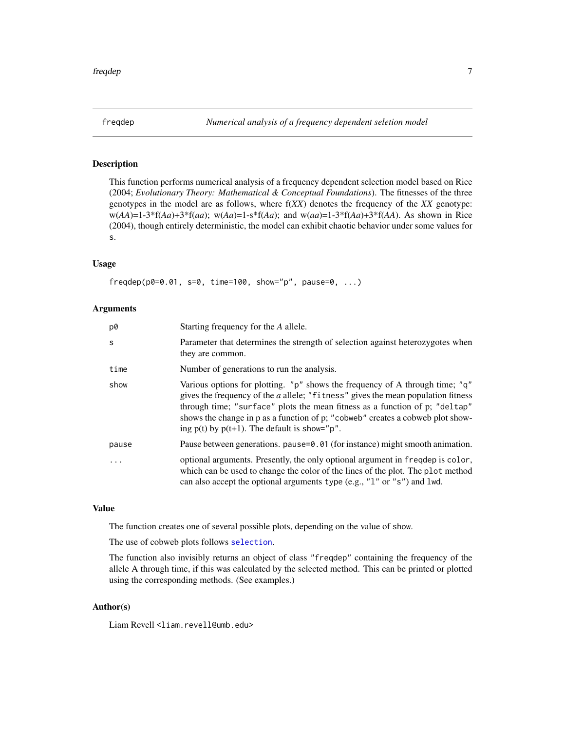<span id="page-6-1"></span><span id="page-6-0"></span>

# Description

This function performs numerical analysis of a frequency dependent selection model based on Rice (2004; *Evolutionary Theory: Mathematical & Conceptual Foundations*). The fitnesses of the three genotypes in the model are as follows, where f(*XX*) denotes the frequency of the *XX* genotype: w(*AA*)=1-3\*f(*Aa*)+3\*f(*aa*); w(*Aa*)=1-s\*f(*Aa*); and w(*aa*)=1-3\*f(*Aa*)+3\*f(*AA*). As shown in Rice (2004), though entirely deterministic, the model can exhibit chaotic behavior under some values for s.

# Usage

 $freqdep(p0=0.01, s=0, time=100, show='p", pause=0, ...)$ 

#### Arguments

| p0    | Starting frequency for the A allele.                                                                                                                                                                                                                                                                                                                                                          |
|-------|-----------------------------------------------------------------------------------------------------------------------------------------------------------------------------------------------------------------------------------------------------------------------------------------------------------------------------------------------------------------------------------------------|
| S     | Parameter that determines the strength of selection against heterozygotes when<br>they are common.                                                                                                                                                                                                                                                                                            |
| time  | Number of generations to run the analysis.                                                                                                                                                                                                                                                                                                                                                    |
| show  | Various options for plotting. "p" shows the frequency of A through time; "q"<br>gives the frequency of the <i>a</i> allele; "fitness" gives the mean population fitness<br>through time; "surface" plots the mean fitness as a function of p; "deltap"<br>shows the change in p as a function of p; "cobweb" creates a cobweb plot show-<br>ing $p(t)$ by $p(t+1)$ . The default is show="p". |
| pause | Pause between generations. pause=0.01 (for instance) might smooth animation.                                                                                                                                                                                                                                                                                                                  |
| .     | optional arguments. Presently, the only optional argument in freqdep is color,<br>which can be used to change the color of the lines of the plot. The plot method<br>can also accept the optional arguments type (e.g., "1" or "s") and lwd.                                                                                                                                                  |

#### Value

The function creates one of several possible plots, depending on the value of show.

The use of cobweb plots follows [selection](#page-14-1).

The function also invisibly returns an object of class "freqdep" containing the frequency of the allele A through time, if this was calculated by the selected method. This can be printed or plotted using the corresponding methods. (See examples.)

### Author(s)

Liam Revell <liam.revell@umb.edu>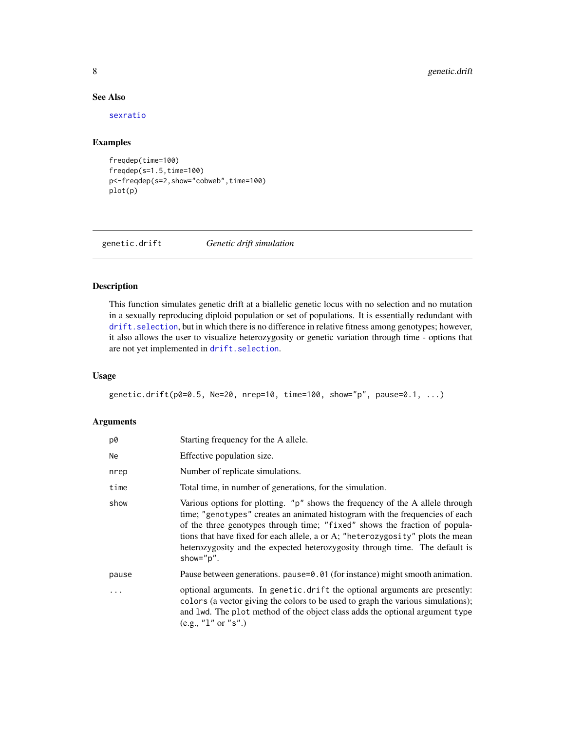# See Also

[sexratio](#page-16-1)

# Examples

```
freqdep(time=100)
freqdep(s=1.5,time=100)
p<-freqdep(s=2,show="cobweb",time=100)
plot(p)
```
<span id="page-7-1"></span>genetic.drift *Genetic drift simulation*

# Description

This function simulates genetic drift at a biallelic genetic locus with no selection and no mutation in a sexually reproducing diploid population or set of populations. It is essentially redundant with [drift.selection](#page-3-1), but in which there is no difference in relative fitness among genotypes; however, it also allows the user to visualize heterozygosity or genetic variation through time - options that are not yet implemented in [drift.selection](#page-3-1).

# Usage

genetic.drift(p0=0.5, Ne=20, nrep=10, time=100, show="p", pause=0.1, ...)

| p0    | Starting frequency for the A allele.                                                                                                                                                                                                                                                                                                                                                                                      |
|-------|---------------------------------------------------------------------------------------------------------------------------------------------------------------------------------------------------------------------------------------------------------------------------------------------------------------------------------------------------------------------------------------------------------------------------|
| Ne    | Effective population size.                                                                                                                                                                                                                                                                                                                                                                                                |
| nrep  | Number of replicate simulations.                                                                                                                                                                                                                                                                                                                                                                                          |
| time  | Total time, in number of generations, for the simulation.                                                                                                                                                                                                                                                                                                                                                                 |
| show  | Various options for plotting. "p" shows the frequency of the A allele through<br>time; "genotypes" creates an animated histogram with the frequencies of each<br>of the three genotypes through time; "fixed" shows the fraction of popula-<br>tions that have fixed for each allele, a or A; "heterozygosity" plots the mean<br>heterozygosity and the expected heterozygosity through time. The default is<br>show="p". |
| pause | Pause between generations. pause=0.01 (for instance) might smooth animation.                                                                                                                                                                                                                                                                                                                                              |
| .     | optional arguments. In genetic drift the optional arguments are presently:<br>colors (a vector giving the colors to be used to graph the various simulations);<br>and lwd. The plot method of the object class adds the optional argument type<br>(e.g., "1" or "s").                                                                                                                                                     |

<span id="page-7-0"></span>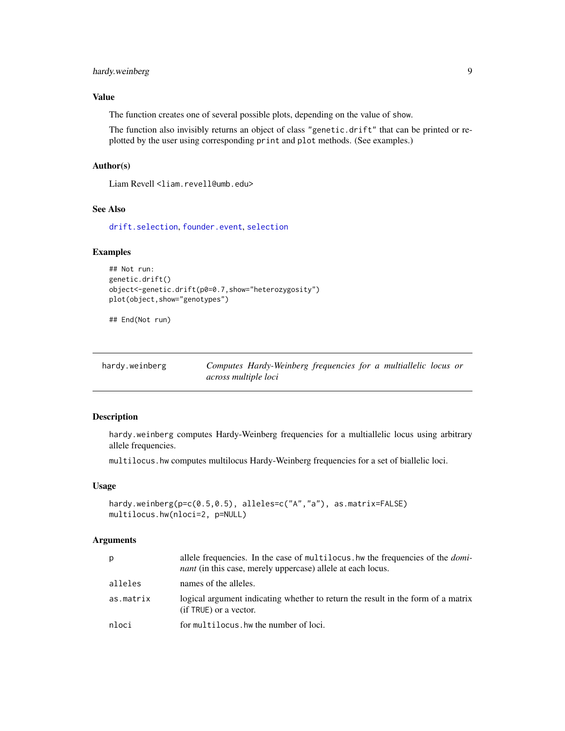# <span id="page-8-0"></span>hardy.weinberg 9

# Value

The function creates one of several possible plots, depending on the value of show.

The function also invisibly returns an object of class "genetic.drift" that can be printed or replotted by the user using corresponding print and plot methods. (See examples.)

#### Author(s)

Liam Revell <liam.revell@umb.edu>

# See Also

[drift.selection](#page-3-1), [founder.event](#page-4-1), [selection](#page-14-1)

#### Examples

```
## Not run:
genetic.drift()
object<-genetic.drift(p0=0.7,show="heterozygosity")
plot(object,show="genotypes")
```
## End(Not run)

| hardy.weinberg | Computes Hardy-Weinberg frequencies for a multiallelic locus or |
|----------------|-----------------------------------------------------------------|
|                | <i>across multiple loci</i>                                     |

# Description

hardy.weinberg computes Hardy-Weinberg frequencies for a multiallelic locus using arbitrary allele frequencies.

multilocus.hw computes multilocus Hardy-Weinberg frequencies for a set of biallelic loci.

#### Usage

```
hardy.weinberg(p=c(0.5,0.5), alleles=c("A","a"), as.matrix=FALSE)
multilocus.hw(nloci=2, p=NULL)
```

| р         | allele frequencies. In the case of multilocus hw the frequencies of the <i>domi</i> -<br><i>nant</i> (in this case, merely uppercase) allele at each locus. |
|-----------|-------------------------------------------------------------------------------------------------------------------------------------------------------------|
| alleles   | names of the alleles.                                                                                                                                       |
| as.matrix | logical argument indicating whether to return the result in the form of a matrix<br>(if TRUE) or a vector.                                                  |
| nloci     | for multilocus. hw the number of loci.                                                                                                                      |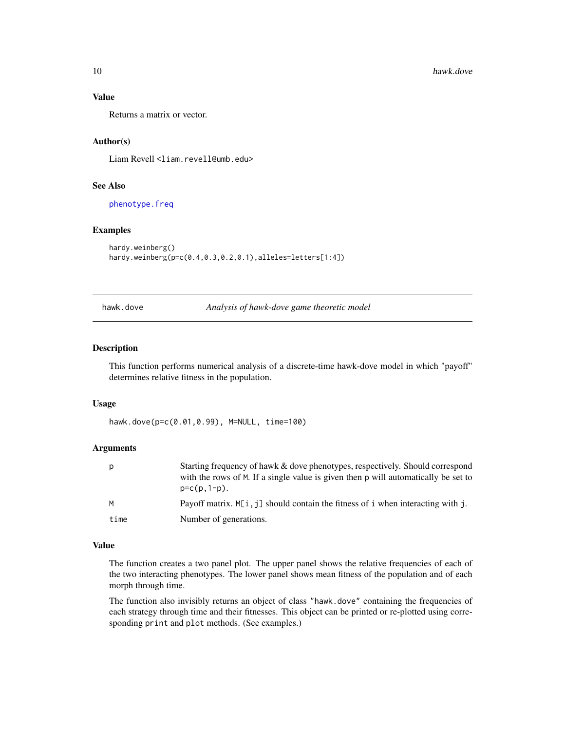#### Value

Returns a matrix or vector.

# Author(s)

Liam Revell <liam.revell@umb.edu>

#### See Also

[phenotype.freq](#page-12-1)

#### Examples

```
hardy.weinberg()
hardy.weinberg(p=c(0.4,0.3,0.2,0.1),alleles=letters[1:4])
```
hawk.dove *Analysis of hawk-dove game theoretic model*

#### Description

This function performs numerical analysis of a discrete-time hawk-dove model in which "payoff" determines relative fitness in the population.

#### Usage

hawk.dove(p=c(0.01,0.99), M=NULL, time=100)

#### Arguments

| p    | Starting frequency of hawk & dove phenotypes, respectively. Should correspond<br>with the rows of M. If a single value is given then p will automatically be set to<br>$p = c(p, 1-p)$ . |
|------|------------------------------------------------------------------------------------------------------------------------------------------------------------------------------------------|
| M    | Payoff matrix. $M[i, j]$ should contain the fitness of i when interacting with j.                                                                                                        |
| time | Number of generations.                                                                                                                                                                   |

#### Value

The function creates a two panel plot. The upper panel shows the relative frequencies of each of the two interacting phenotypes. The lower panel shows mean fitness of the population and of each morph through time.

The function also invisibly returns an object of class "hawk.dove" containing the frequencies of each strategy through time and their fitnesses. This object can be printed or re-plotted using corresponding print and plot methods. (See examples.)

<span id="page-9-0"></span>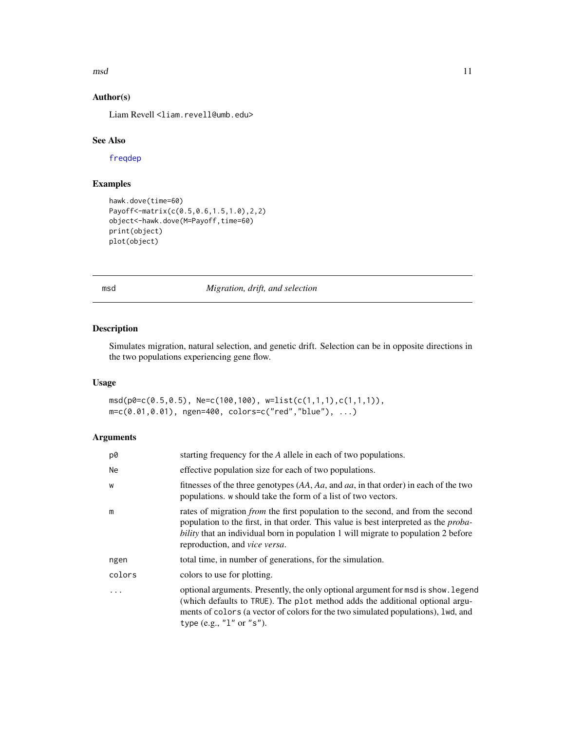<span id="page-10-0"></span>msd and the contract of the contract of the contract of the contract of the contract of the contract of the contract of the contract of the contract of the contract of the contract of the contract of the contract of the co

# Author(s)

Liam Revell <liam.revell@umb.edu>

# See Also

[freqdep](#page-6-1)

# Examples

```
hawk.dove(time=60)
Payoff<-matrix(c(0.5,0.6,1.5,1.0),2,2)
object<-hawk.dove(M=Payoff,time=60)
print(object)
plot(object)
```
<span id="page-10-1"></span>msd *Migration, drift, and selection*

#### Description

Simulates migration, natural selection, and genetic drift. Selection can be in opposite directions in the two populations experiencing gene flow.

#### Usage

 $msd(p0=c(0.5, 0.5), Ne=c(100, 100), w=list(c(1,1,1),c(1,1,1)),$ m=c(0.01,0.01), ngen=400, colors=c("red","blue"), ...)

| p0        | starting frequency for the A allele in each of two populations.                                                                                                                                                                                                                                                      |
|-----------|----------------------------------------------------------------------------------------------------------------------------------------------------------------------------------------------------------------------------------------------------------------------------------------------------------------------|
| <b>Ne</b> | effective population size for each of two populations.                                                                                                                                                                                                                                                               |
| W         | fitnesses of the three genotypes $(AA, Aa,$ and aa, in that order) in each of the two<br>populations. w should take the form of a list of two vectors.                                                                                                                                                               |
| m         | rates of migration <i>from</i> the first population to the second, and from the second<br>population to the first, in that order. This value is best interpreted as the <i>proba</i> -<br><i>bility</i> that an individual born in population 1 will migrate to population 2 before<br>reproduction, and vice versa. |
| ngen      | total time, in number of generations, for the simulation.                                                                                                                                                                                                                                                            |
| colors    | colors to use for plotting.                                                                                                                                                                                                                                                                                          |
| .         | optional arguments. Presently, the only optional argument for msd is show. Legend<br>(which defaults to TRUE). The plot method adds the additional optional argu-<br>ments of colors (a vector of colors for the two simulated populations), lwd, and<br>type $(e.g., "l" or "s").$                                  |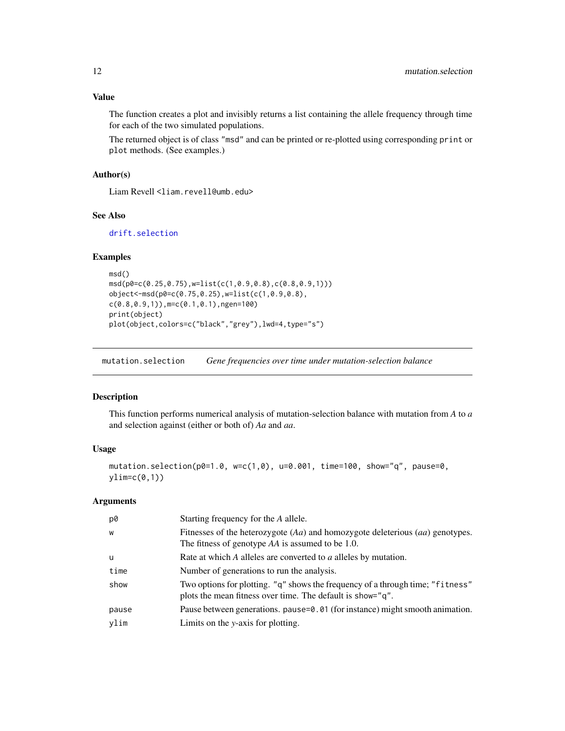<span id="page-11-0"></span>The function creates a plot and invisibly returns a list containing the allele frequency through time for each of the two simulated populations.

The returned object is of class "msd" and can be printed or re-plotted using corresponding print or plot methods. (See examples.)

# Author(s)

Liam Revell <liam.revell@umb.edu>

#### See Also

[drift.selection](#page-3-1)

#### Examples

```
msd()
msd(p0=c(0.25,0.75),w=list(c(1,0.9,0.8),c(0.8,0.9,1)))
object<-msd(p0=c(0.75,0.25),w=list(c(1,0.9,0.8),
c(0.8,0.9,1)),m=c(0.1,0.1),ngen=100)
print(object)
plot(object,colors=c("black","grey"),lwd=4,type="s")
```
<span id="page-11-1"></span>mutation.selection *Gene frequencies over time under mutation-selection balance*

#### Description

This function performs numerical analysis of mutation-selection balance with mutation from *A* to *a* and selection against (either or both of) *Aa* and *aa*.

#### Usage

```
mutation.selection(p0=1.0, w=c(1,0), u=0.001, time=100, show="q", pause=0,
ylim=c(0,1))
```

| p0    | Starting frequency for the A allele.                                                                                                         |
|-------|----------------------------------------------------------------------------------------------------------------------------------------------|
| W     | Fitnesses of the heterozygote $(Aa)$ and homozygote deleterious $(aa)$ genotypes.<br>The fitness of genotype AA is assumed to be 1.0.        |
| u     | Rate at which A alleles are converted to a alleles by mutation.                                                                              |
| time  | Number of generations to run the analysis.                                                                                                   |
| show  | Two options for plotting. "q" shows the frequency of a through time; "fitness"<br>plots the mean fitness over time. The default is show="q". |
| pause | Pause between generations. pause=0.01 (for instance) might smooth animation.                                                                 |
| vlim  | Limits on the y-axis for plotting.                                                                                                           |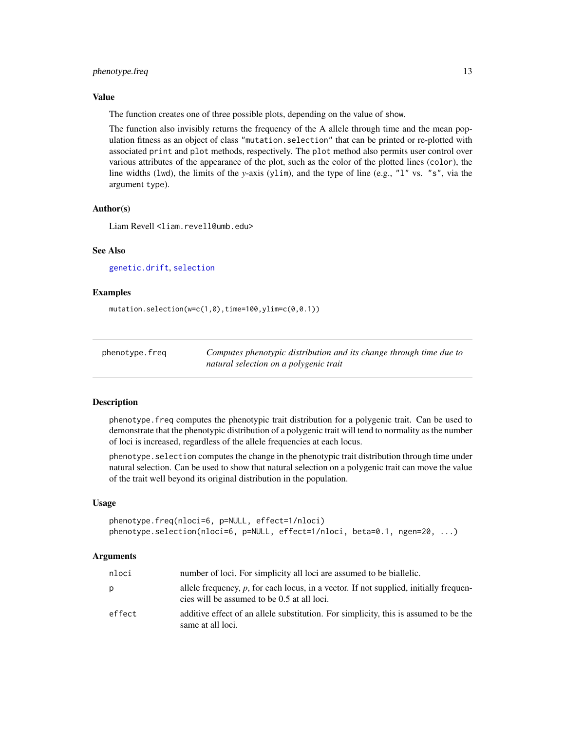# <span id="page-12-0"></span>phenotype.freq 13

#### Value

The function creates one of three possible plots, depending on the value of show.

The function also invisibly returns the frequency of the A allele through time and the mean population fitness as an object of class "mutation.selection" that can be printed or re-plotted with associated print and plot methods, respectively. The plot method also permits user control over various attributes of the appearance of the plot, such as the color of the plotted lines (color), the line widths (lwd), the limits of the *y*-axis (ylim), and the type of line (e.g., "l" vs. "s", via the argument type).

#### Author(s)

Liam Revell <liam.revell@umb.edu>

#### See Also

[genetic.drift](#page-7-1), [selection](#page-14-1)

#### Examples

mutation.selection(w=c(1,0),time=100,ylim=c(0,0.1))

<span id="page-12-1"></span>

| phenotype.freq | Computes phenotypic distribution and its change through time due to |
|----------------|---------------------------------------------------------------------|
|                | natural selection on a polygenic trait                              |

#### Description

phenotype.freq computes the phenotypic trait distribution for a polygenic trait. Can be used to demonstrate that the phenotypic distribution of a polygenic trait will tend to normality as the number of loci is increased, regardless of the allele frequencies at each locus.

phenotype.selection computes the change in the phenotypic trait distribution through time under natural selection. Can be used to show that natural selection on a polygenic trait can move the value of the trait well beyond its original distribution in the population.

#### Usage

```
phenotype.freq(nloci=6, p=NULL, effect=1/nloci)
phenotype.selection(nloci=6, p=NULL, effect=1/nloci, beta=0.1, ngen=20, ...)
```

| nloci  | number of loci. For simplicity all loci are assumed to be biallelic.                                                                    |
|--------|-----------------------------------------------------------------------------------------------------------------------------------------|
| p      | allele frequency, $p$ , for each locus, in a vector. If not supplied, initially frequen-<br>cies will be assumed to be 0.5 at all loci. |
| effect | additive effect of an allele substitution. For simplicity, this is assumed to be the<br>same at all loci.                               |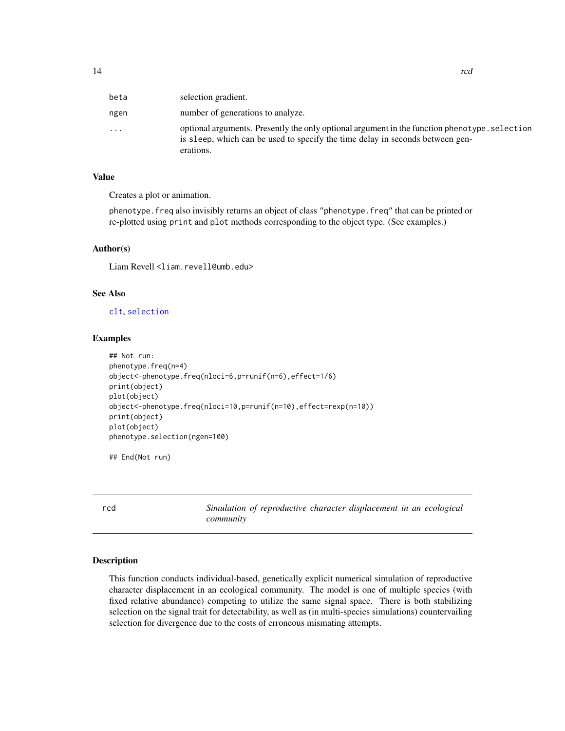<span id="page-13-0"></span>

| beta      | selection gradient.                                                                                                                                                                         |
|-----------|---------------------------------------------------------------------------------------------------------------------------------------------------------------------------------------------|
| ngen      | number of generations to analyze.                                                                                                                                                           |
| $\ddotsc$ | optional arguments. Presently the only optional argument in the function phenotype. selection<br>is sleep, which can be used to specify the time delay in seconds between gen-<br>erations. |

# Value

Creates a plot or animation.

phenotype.freq also invisibly returns an object of class "phenotype.freq" that can be printed or re-plotted using print and plot methods corresponding to the object type. (See examples.)

#### Author(s)

Liam Revell <liam.revell@umb.edu>

#### See Also

[clt](#page-1-1), [selection](#page-14-1)

# Examples

```
## Not run:
phenotype.freq(n=4)
object<-phenotype.freq(nloci=6,p=runif(n=6),effect=1/6)
print(object)
plot(object)
object<-phenotype.freq(nloci=10,p=runif(n=10),effect=rexp(n=10))
print(object)
plot(object)
phenotype.selection(ngen=100)
```
## End(Not run)

rcd *Simulation of reproductive character displacement in an ecological community*

#### Description

This function conducts individual-based, genetically explicit numerical simulation of reproductive character displacement in an ecological community. The model is one of multiple species (with fixed relative abundance) competing to utilize the same signal space. There is both stabilizing selection on the signal trait for detectability, as well as (in multi-species simulations) countervailing selection for divergence due to the costs of erroneous mismating attempts.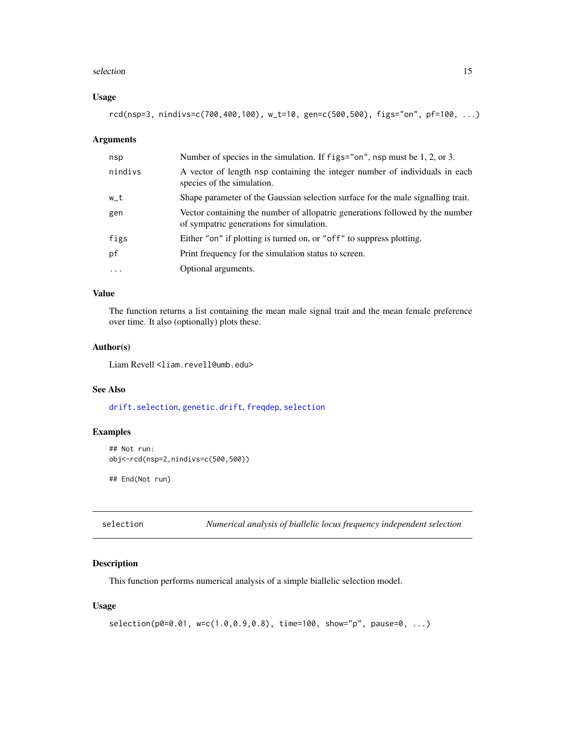#### <span id="page-14-0"></span>selection and the selection of the selection of the selection of the selection of the selection of the selection of the selection of the selection of the selection of the selection of the selection of the selection of the

# Usage

rcd(nsp=3, nindivs=c(700,400,100), w\_t=10, gen=c(500,500), figs="on", pf=100, ...)

# Arguments

| nsp     | Number of species in the simulation. If figs="on", nsp must be 1, 2, or 3.                                                |
|---------|---------------------------------------------------------------------------------------------------------------------------|
| nindivs | A vector of length nsp containing the integer number of individuals in each<br>species of the simulation.                 |
| w_t     | Shape parameter of the Gaussian selection surface for the male signalling trait.                                          |
| gen     | Vector containing the number of allopatric generations followed by the number<br>of sympatric generations for simulation. |
| figs    | Either "on" if plotting is turned on, or "off" to suppress plotting.                                                      |
| pf      | Print frequency for the simulation status to screen.                                                                      |
| $\cdot$ | Optional arguments.                                                                                                       |

# Value

The function returns a list containing the mean male signal trait and the mean female preference over time. It also (optionally) plots these.

### Author(s)

Liam Revell <liam.revell@umb.edu>

#### See Also

[drift.selection](#page-3-1), [genetic.drift](#page-7-1), [freqdep](#page-6-1), [selection](#page-14-1)

# Examples

```
## Not run:
obj<-rcd(nsp=2,nindivs=c(500,500))
```
## End(Not run)

<span id="page-14-1"></span>selection *Numerical analysis of biallelic locus frequency independent selection*

# Description

This function performs numerical analysis of a simple biallelic selection model.

#### Usage

```
selection(p0=0.01, w=c(1.0,0.9,0.8), time=100, show="p", pause=0, ...)
```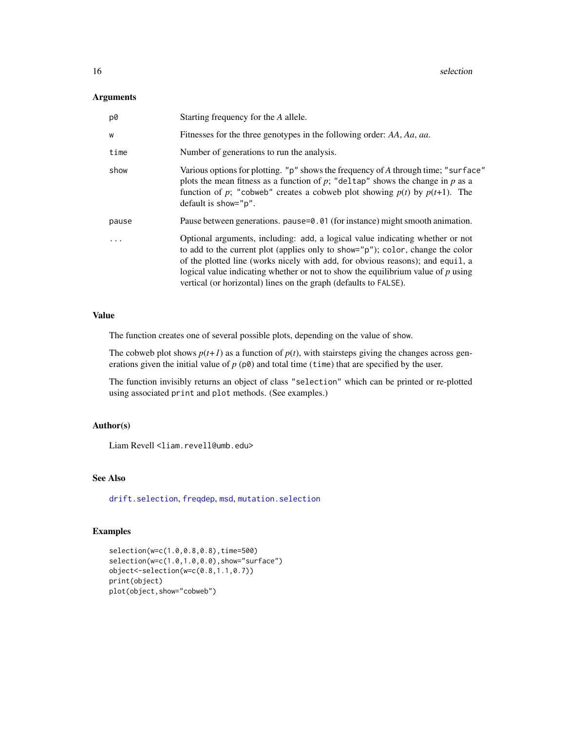# <span id="page-15-0"></span>Arguments

| p0       | Starting frequency for the A allele.                                                                                                                                                                                                                                                                                                                                                                        |
|----------|-------------------------------------------------------------------------------------------------------------------------------------------------------------------------------------------------------------------------------------------------------------------------------------------------------------------------------------------------------------------------------------------------------------|
| W        | Fitnesses for the three genotypes in the following order: AA, Aa, aa.                                                                                                                                                                                                                                                                                                                                       |
| time     | Number of generations to run the analysis.                                                                                                                                                                                                                                                                                                                                                                  |
| show     | Various options for plotting. "p" shows the frequency of A through time; "surface"<br>plots the mean fitness as a function of $p$ ; "deltap" shows the change in $p$ as a<br>function of p; "cobweb" creates a cobweb plot showing $p(t)$ by $p(t+1)$ . The<br>default is show="p".                                                                                                                         |
| pause    | Pause between generations. pause=0.01 (for instance) might smooth animation.                                                                                                                                                                                                                                                                                                                                |
| $\ddots$ | Optional arguments, including: add, a logical value indicating whether or not<br>to add to the current plot (applies only to show="p"); color, change the color<br>of the plotted line (works nicely with add, for obvious reasons); and equil, a<br>logical value indicating whether or not to show the equilibrium value of $p$ using<br>vertical (or horizontal) lines on the graph (defaults to FALSE). |

# Value

The function creates one of several possible plots, depending on the value of show.

The cobweb plot shows  $p(t+1)$  as a function of  $p(t)$ , with stairsteps giving the changes across generations given the initial value of  $p$  ( $p$  $\theta$ ) and total time ( $time$ ) that are specified by the user.

The function invisibly returns an object of class "selection" which can be printed or re-plotted using associated print and plot methods. (See examples.)

# Author(s)

Liam Revell <liam.revell@umb.edu>

# See Also

[drift.selection](#page-3-1), [freqdep](#page-6-1), [msd](#page-10-1), [mutation.selection](#page-11-1)

#### Examples

```
selection(w=c(1.0,0.8,0.8),time=500)
selection(w=c(1.0,1.0,0.0),show="surface")
object<-selection(w=c(0.8,1.1,0.7))
print(object)
plot(object,show="cobweb")
```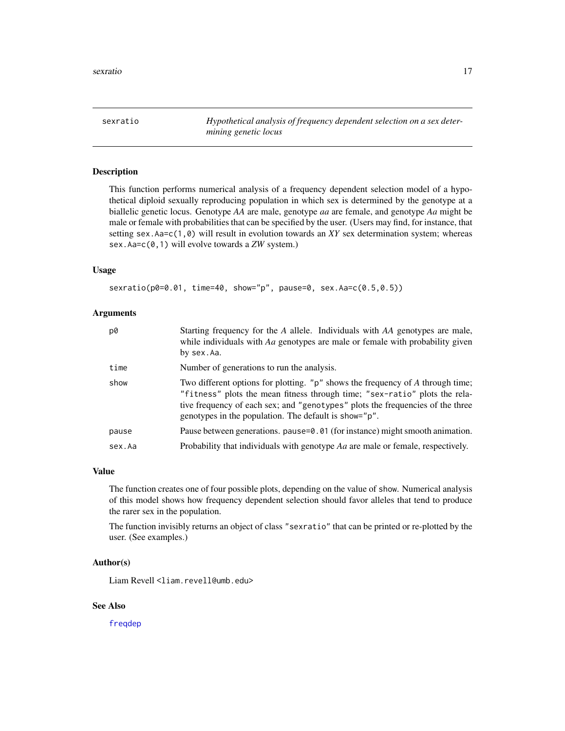<span id="page-16-1"></span><span id="page-16-0"></span>sexratio *Hypothetical analysis of frequency dependent selection on a sex determining genetic locus*

# Description

This function performs numerical analysis of a frequency dependent selection model of a hypothetical diploid sexually reproducing population in which sex is determined by the genotype at a biallelic genetic locus. Genotype *AA* are male, genotype *aa* are female, and genotype *Aa* might be male or female with probabilities that can be specified by the user. (Users may find, for instance, that setting sex.Aa=c(1,0) will result in evolution towards an *XY* sex determination system; whereas sex.Aa=c(0,1) will evolve towards a *ZW* system.)

#### Usage

sexratio(p0=0.01, time=40, show="p", pause=0, sex.Aa=c(0.5,0.5))

#### Arguments

| p0     | Starting frequency for the A allele. Individuals with AA genotypes are male,<br>while individuals with Aa genotypes are male or female with probability given<br>by sex.Aa.                                                                                                                                 |
|--------|-------------------------------------------------------------------------------------------------------------------------------------------------------------------------------------------------------------------------------------------------------------------------------------------------------------|
| time   | Number of generations to run the analysis.                                                                                                                                                                                                                                                                  |
| show   | Two different options for plotting. " $p$ " shows the frequency of A through time;<br>"fitness" plots the mean fitness through time; "sex-ratio" plots the rela-<br>tive frequency of each sex; and "genotypes" plots the frequencies of the three<br>genotypes in the population. The default is show="p". |
| pause  | Pause between generations. pause=0.01 (for instance) might smooth animation.                                                                                                                                                                                                                                |
| sex.Aa | Probability that individuals with genotype Aa are male or female, respectively.                                                                                                                                                                                                                             |

### Value

The function creates one of four possible plots, depending on the value of show. Numerical analysis of this model shows how frequency dependent selection should favor alleles that tend to produce the rarer sex in the population.

The function invisibly returns an object of class "sexratio" that can be printed or re-plotted by the user. (See examples.)

### Author(s)

Liam Revell <liam.revell@umb.edu>

# See Also

[freqdep](#page-6-1)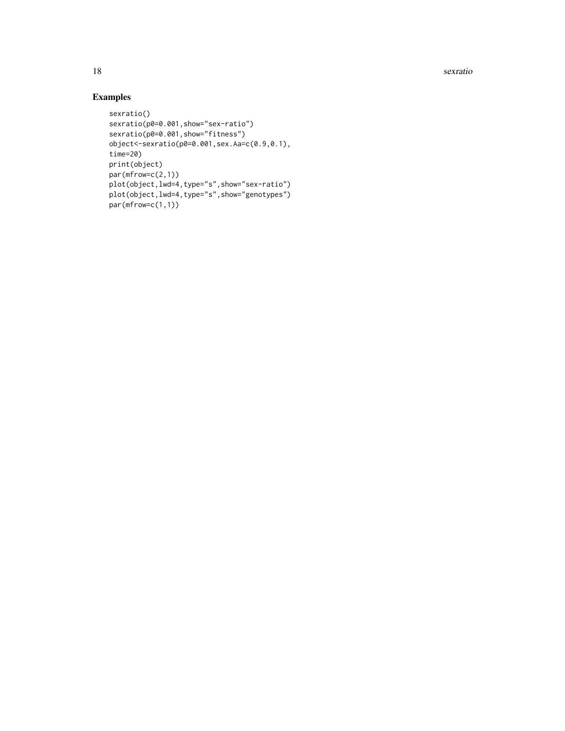18 sexratio

# Examples

```
sexratio()
sexratio(p0=0.001,show="sex-ratio")
sexratio(p0=0.001,show="fitness")
object<-sexratio(p0=0.001,sex.Aa=c(0.9,0.1),
time=20)
print(object)
par(mfrow=c(2,1))
plot(object,lwd=4,type="s",show="sex-ratio")
plot(object,lwd=4,type="s",show="genotypes")
par(mfrow=c(1,1))
```